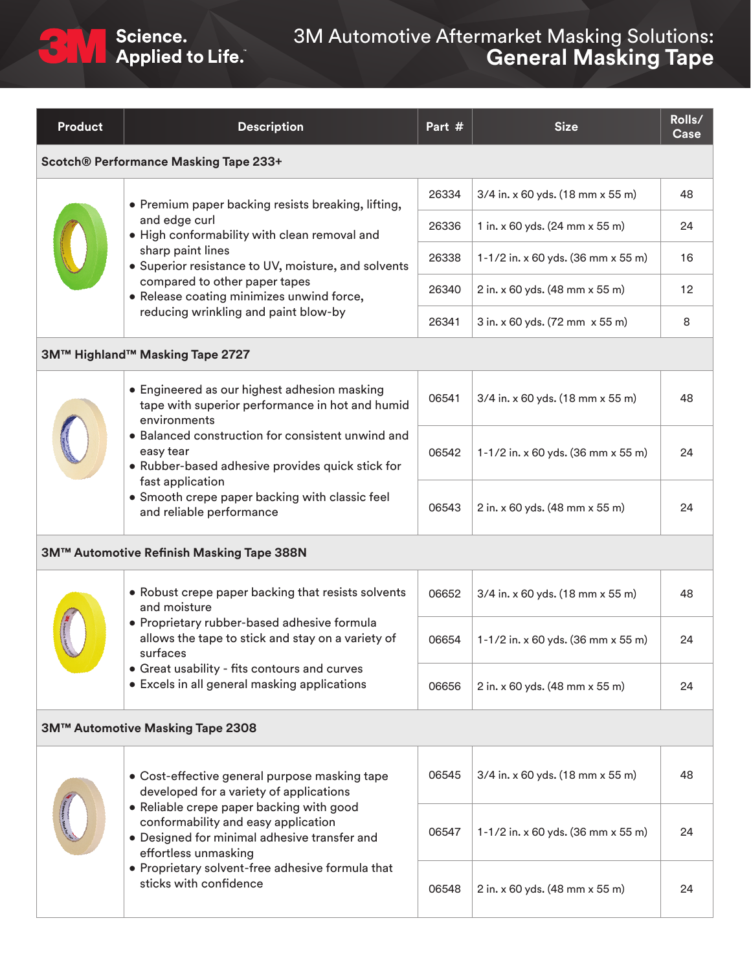## 3M Automotive Aftermarket Masking Solutions: **General Masking Tape**

| <b>Product</b>                               | <b>Description</b>                                                                                                                                                                                                                                                                                                                      | Part # | <b>Size</b>                        | Rolls/<br>Case |  |  |  |
|----------------------------------------------|-----------------------------------------------------------------------------------------------------------------------------------------------------------------------------------------------------------------------------------------------------------------------------------------------------------------------------------------|--------|------------------------------------|----------------|--|--|--|
| <b>Scotch® Performance Masking Tape 233+</b> |                                                                                                                                                                                                                                                                                                                                         |        |                                    |                |  |  |  |
|                                              | • Premium paper backing resists breaking, lifting,<br>and edge curl<br>· High conformability with clean removal and<br>sharp paint lines<br>• Superior resistance to UV, moisture, and solvents<br>compared to other paper tapes<br>· Release coating minimizes unwind force,<br>reducing wrinkling and paint blow-by                   | 26334  | 3/4 in. x 60 yds. (18 mm x 55 m)   | 48             |  |  |  |
|                                              |                                                                                                                                                                                                                                                                                                                                         | 26336  | 1 in. x 60 yds. (24 mm x 55 m)     | 24             |  |  |  |
|                                              |                                                                                                                                                                                                                                                                                                                                         | 26338  | 1-1/2 in. x 60 yds. (36 mm x 55 m) | 16             |  |  |  |
|                                              |                                                                                                                                                                                                                                                                                                                                         | 26340  | 2 in. x 60 yds. (48 mm x 55 m)     | 12             |  |  |  |
|                                              |                                                                                                                                                                                                                                                                                                                                         | 26341  | 3 in. x 60 yds. (72 mm x 55 m)     | 8              |  |  |  |
| 3M™ Highland™ Masking Tape 2727              |                                                                                                                                                                                                                                                                                                                                         |        |                                    |                |  |  |  |
|                                              | • Engineered as our highest adhesion masking<br>tape with superior performance in hot and humid<br>environments<br>• Balanced construction for consistent unwind and<br>easy tear<br>· Rubber-based adhesive provides quick stick for<br>fast application<br>• Smooth crepe paper backing with classic feel<br>and reliable performance | 06541  | 3/4 in. x 60 yds. (18 mm x 55 m)   | 48             |  |  |  |
|                                              |                                                                                                                                                                                                                                                                                                                                         | 06542  | 1-1/2 in. x 60 yds. (36 mm x 55 m) | 24             |  |  |  |
|                                              |                                                                                                                                                                                                                                                                                                                                         | 06543  | 2 in. x 60 yds. (48 mm x 55 m)     | 24             |  |  |  |
| 3M™ Automotive Refinish Masking Tape 388N    |                                                                                                                                                                                                                                                                                                                                         |        |                                    |                |  |  |  |
|                                              | • Robust crepe paper backing that resists solvents<br>and moisture<br>· Proprietary rubber-based adhesive formula<br>allows the tape to stick and stay on a variety of<br>surfaces<br>• Great usability - fits contours and curves<br>• Excels in all general masking applications                                                      | 06652  | 3/4 in. x 60 yds. (18 mm x 55 m)   | 48             |  |  |  |
|                                              |                                                                                                                                                                                                                                                                                                                                         | 06654  | 1-1/2 in. x 60 yds. (36 mm x 55 m) | 24             |  |  |  |
|                                              |                                                                                                                                                                                                                                                                                                                                         | 06656  | 2 in. x 60 yds. (48 mm x 55 m)     | 24             |  |  |  |
| 3M™ Automotive Masking Tape 2308             |                                                                                                                                                                                                                                                                                                                                         |        |                                    |                |  |  |  |
|                                              | • Cost-effective general purpose masking tape<br>developed for a variety of applications<br>• Reliable crepe paper backing with good<br>conformability and easy application<br>• Designed for minimal adhesive transfer and<br>effortless unmasking<br>• Proprietary solvent-free adhesive formula that<br>sticks with confidence       | 06545  | 3/4 in. x 60 yds. (18 mm x 55 m)   | 48             |  |  |  |
|                                              |                                                                                                                                                                                                                                                                                                                                         | 06547  | 1-1/2 in. x 60 yds. (36 mm x 55 m) | 24             |  |  |  |
|                                              |                                                                                                                                                                                                                                                                                                                                         | 06548  | 2 in. x 60 yds. (48 mm x 55 m)     | 24             |  |  |  |

Science.<br>Applied to Life.

 $\mathbf{C}$